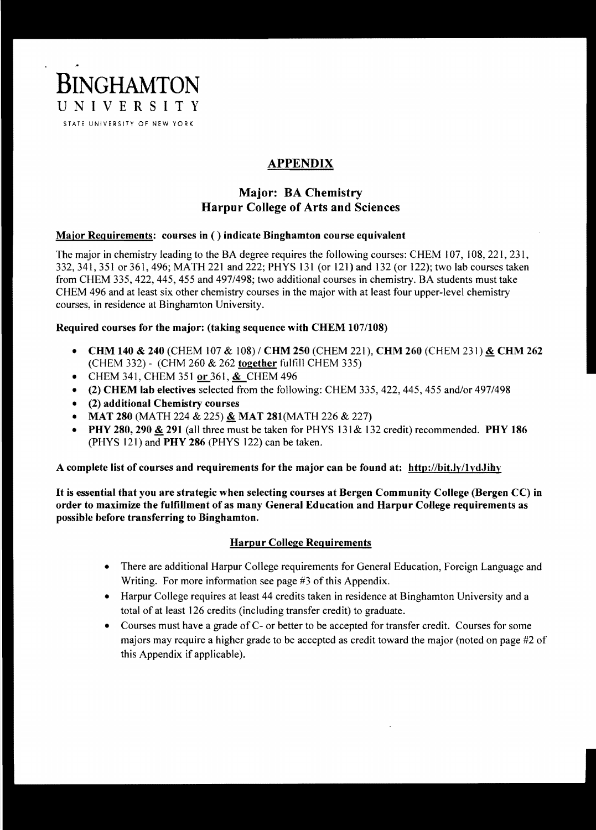BINGHAMTON UNIVERSITY STATE UNIVERSITY OF NEW YORK

# APPENDIX

## Major: BA Chemistry Harpur College of Arts and Sciences

## Major Requirements: courses in ( ) indicate Binghamton course equivalent

The major in chemistry leading to the BA degree requires the following courses: CHEM 107, 108,221,231, 332,341,351 or 361,496; MATH 221 and 222; PHYS 131 (or 121) and 132 (or 122); two lab courses taken from CHEM 335, 422, 445, 455 and 497/498; two additional courses in chemistry. BA students must take CHEM 496 and at least six other chemistry courses in the major with at least four upper-level chemistry courses, in residence at Binghamton University.

#### Required courses for the major: (taking sequence with CHEM 107/108)

- CHM 140 & 240 (CHEM 107 & 108) / CHM 250 (CHEM 221), CHM 260 (CHEM 231) & CHM 262 (CHEM 332) - (CHM 260 & 262 together fulfill CHEM 335)
- CHEM 341, CHEM 351 or 361, & CHEM 496
- (2) CHEM lab electives selected from the following: CHEM 335, 422, 445, 455 and/or 497/498
- $\bullet$  (2) additional Chemistry courses
- MAT 280 (MATH 224 & 225)  $&$  MAT 281(MATH 226 & 227)
- PHY 280, 290 & 291 (all three must be taken for PHYS 131 & 132 credit) recommended. PHY 186 (PHYS 121) and PHY 286 (PHYS 122) can be taken.

A complete list of courses and requirements for the major can be found at: http://bit.ly/lydJihy

It is essential that you are strategic when selecting courses at Bergen Community College (Bergen CC) in order to maximize the fulfillment of as many General Education and Harpur College requiremen ts as possible before transferring to Binghamton.

## Harpur College Requirements

- There are additional Harpur College requirements for General Education, Foreign Language and Writing. For more information see page #3 of this Appendix.
- Harpur College requires at least 44 credits taken in residence at Binghamton University and a total of at least 126 credits (including transfer credit) to graduate.
- Courses must have a grade of C- or better to be accepted for transfer credit. Courses for some majors may require a higher grade to be accepted as credit toward the major (noted on page #2 of this Appendix if applicable).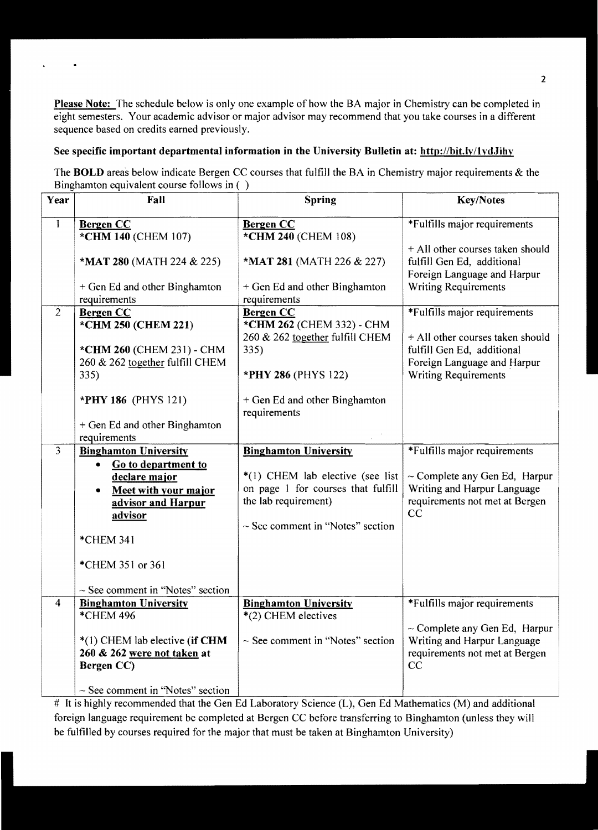Please Note: The schedule below is only one example of how the BA major in Chemistry can be completed in eight semesters. Your academic advisor or major advisor may recommend that you take courses in a different sequence based on credits earned previously.

#### See specific important departmental information in the University Bulletin at: http://bit.lv/lvdJihv

l,

The BOLD areas below indicate Bergen CC courses that fulfill the BA in Chemistry major requirements & the Binghamton equivalent course follows in ( )

| Year                    | Fall                                                                                               | Spring                                                                                                                                  | <b>Key/Notes</b>                                                                                          |
|-------------------------|----------------------------------------------------------------------------------------------------|-----------------------------------------------------------------------------------------------------------------------------------------|-----------------------------------------------------------------------------------------------------------|
| $\mathbf{1}$            | <b>Bergen CC</b><br>*CHM 140 (CHEM 107)                                                            | <b>Bergen CC</b><br>*CHM 240 (CHEM 108)                                                                                                 | *Fulfills major requirements                                                                              |
|                         | *MAT 280 (MATH 224 & 225)                                                                          | *MAT 281 (MATH 226 & 227)                                                                                                               | + All other courses taken should<br>fulfill Gen Ed, additional<br>Foreign Language and Harpur             |
|                         | + Gen Ed and other Binghamton<br>requirements                                                      | + Gen Ed and other Binghamton<br>requirements                                                                                           | <b>Writing Requirements</b>                                                                               |
| $\overline{2}$          | <b>Bergen CC</b><br>*CHM 250 (CHEM 221)<br>*CHM 260 (CHEM 231) - CHM                               | <b>Bergen CC</b><br>*CHM 262 (CHEM 332) - CHM<br>260 & 262 together fulfill CHEM<br>335)                                                | *Fulfills major requirements<br>+ All other courses taken should<br>fulfill Gen Ed, additional            |
|                         | 260 & 262 together fulfill CHEM<br>335)                                                            | *PHY 286 (PHYS 122)                                                                                                                     | Foreign Language and Harpur<br><b>Writing Requirements</b>                                                |
|                         | <b>*PHY 186</b> (PHYS 121)<br>+ Gen Ed and other Binghamton<br>requirements                        | + Gen Ed and other Binghamton<br>requirements                                                                                           |                                                                                                           |
| $\overline{3}$          | <b>Binghamton University</b>                                                                       | <b>Binghamton University</b>                                                                                                            | *Fulfills major requirements                                                                              |
|                         | Go to department to<br>۰<br>declare major<br>Meet with your major<br>advisor and Harpur<br>advisor | *(1) CHEM lab elective (see list<br>on page 1 for courses that fulfill<br>the lab requirement)<br>$\sim$ See comment in "Notes" section | $\sim$ Complete any Gen Ed, Harpur<br>Writing and Harpur Language<br>requirements not met at Bergen<br>CC |
|                         | *CHEM 341                                                                                          |                                                                                                                                         |                                                                                                           |
|                         | *CHEM 351 or 361                                                                                   |                                                                                                                                         |                                                                                                           |
|                         | $\sim$ See comment in "Notes" section                                                              |                                                                                                                                         |                                                                                                           |
| $\overline{\mathbf{4}}$ | <b>Binghamton University</b><br>*CHEM 496                                                          | <b>Binghamton University</b><br>$*(2)$ CHEM electives                                                                                   | *Fulfills major requirements                                                                              |
|                         | $*(1)$ CHEM lab elective (if CHM<br>260 & 262 were not taken at<br>Bergen CC)                      | $\sim$ See comment in "Notes" section                                                                                                   | $\sim$ Complete any Gen Ed, Harpur<br>Writing and Harpur Language<br>requirements not met at Bergen<br>CC |
|                         | $\sim$ See comment in "Notes" section                                                              |                                                                                                                                         |                                                                                                           |

# It is highly recommended that the Gen Ed Laboratory Science (L), Gen Ed Mathematics (M) and additional foreign language requirement be completed at Bergen CC before transferring to Binghamton (unless they will be fulfilled by courses required for the major that must be taken at Binghamton University)